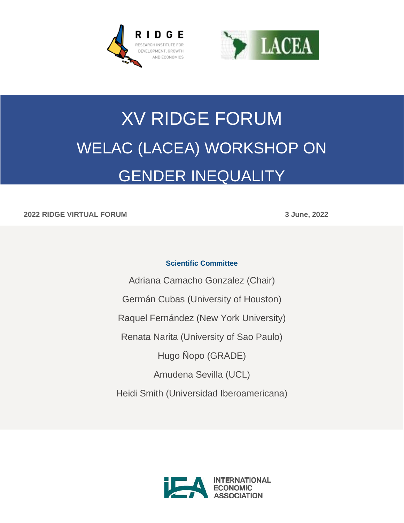



# XV RIDGE FORUM WELAC (LACEA) WORKSHOP ON GENDER INEQUALITY

#### **2022 RIDGE VIRTUAL FORUM 3 June, 2022**

#### **Scientific Committee**

Adriana Camacho Gonzalez (Chair) Germán Cubas (University of Houston) Raquel Fernández (New York University) Renata Narita (University of Sao Paulo) Hugo Ñopo (GRADE) Amudena Sevilla (UCL) Heidi Smith (Universidad Iberoamericana)

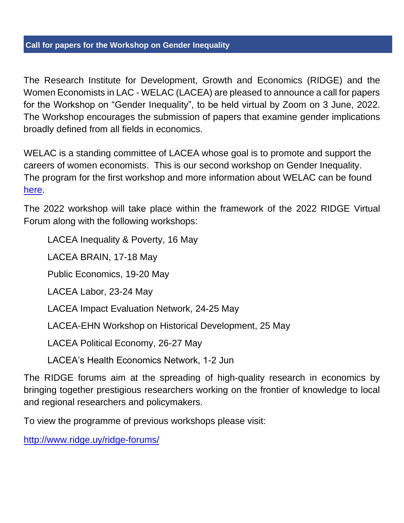## **Call for papers for the Workshop on Gender Inequality**

The Research Institute for Development, Growth and Economics (RIDGE) and the Women Economists in LAC - WELAC (LACEA) are pleased to announce a call for papers for the Workshop on "Gender Inequality", to be held virtual by Zoom on 3 June, 2022. The Workshop encourages the submission of papers that examine gender implications broadly defined from all fields in economics.

WELAC is a standing committee of LACEA whose goal is to promote and support the careers of women economists. This is our second workshop on Gender Inequality. The program for the first workshop and more information about WELAC can be found [here.](http://www.lacea.org/portal/index.php?option=com_content&view=article&id=179&Itemid=356)

The 2022 workshop will take place within the framework of the 2022 RIDGE Virtual Forum along with the following workshops:

LACEA Inequality & Poverty, 16 May

LACEA BRAIN, 17-18 May

Public Economics, 19-20 May

LACEA Labor, 23-24 May

LACEA Impact Evaluation Network, 24-25 May

LACEA-EHN Workshop on Historical Development, 25 May

LACEA Political Economy, 26-27 May

LACEA's Health Economics Network, 1-2 Jun

The RIDGE forums aim at the spreading of high-quality research in economics by bringing together prestigious researchers working on the frontier of knowledge to local and regional researchers and policymakers.

To view the programme of previous workshops please visit:

<http://www.ridge.uy/ridge-forums/>